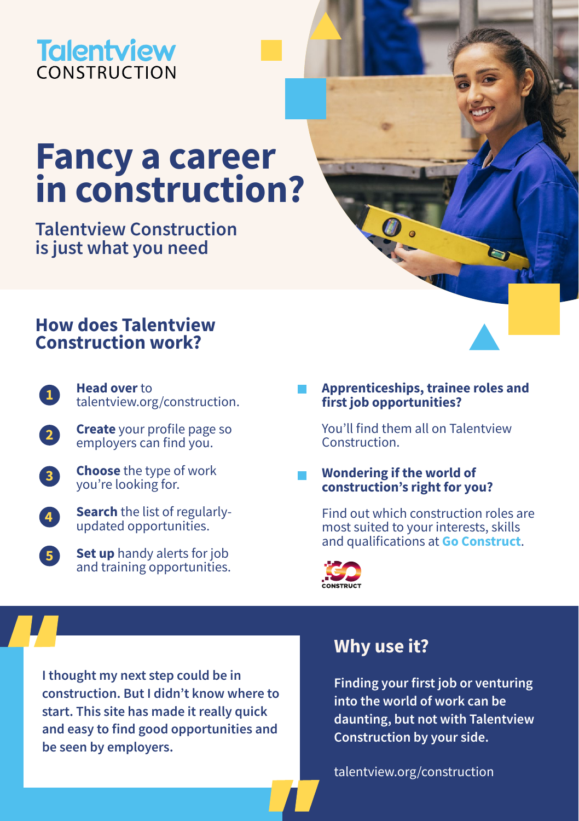## **Talentview** CONSTRUCTION

# **Fancy a career in construction?**

**Talentview Construction is just what you need** 

## **How does Talentview Construction work?**

- **Head over** to [talentview.org/construction](http://talentview.org/construction). **1**
- **Create** your profile page so employers can find you. **2**
- **Choose** the type of work you're looking for. **3**
- **Search** the list of regularlyupdated opportunities. **4**
- **Set up** handy alerts for job and training opportunities. **5**

### **Apprenticeships, trainee roles and first job opportunities?**

You'll find them all on Talentview Construction.

### **Wondering if the world of construction's right for you?**

Find out which construction roles are most suited to your interests, skills and qualifications at **[Go Construct](https://www.goconstruct.org/)**.



**I thought my next step could be in construction. But I didn't know where to start. This site has made it really quick and easy to find good opportunities and be seen by employers.**

## **Why use it?**

**Finding your first job or venturing into the world of work can be daunting, but not with Talentview Construction by your side.** 

[talentview.org/construction](http://talentview.org/construction)